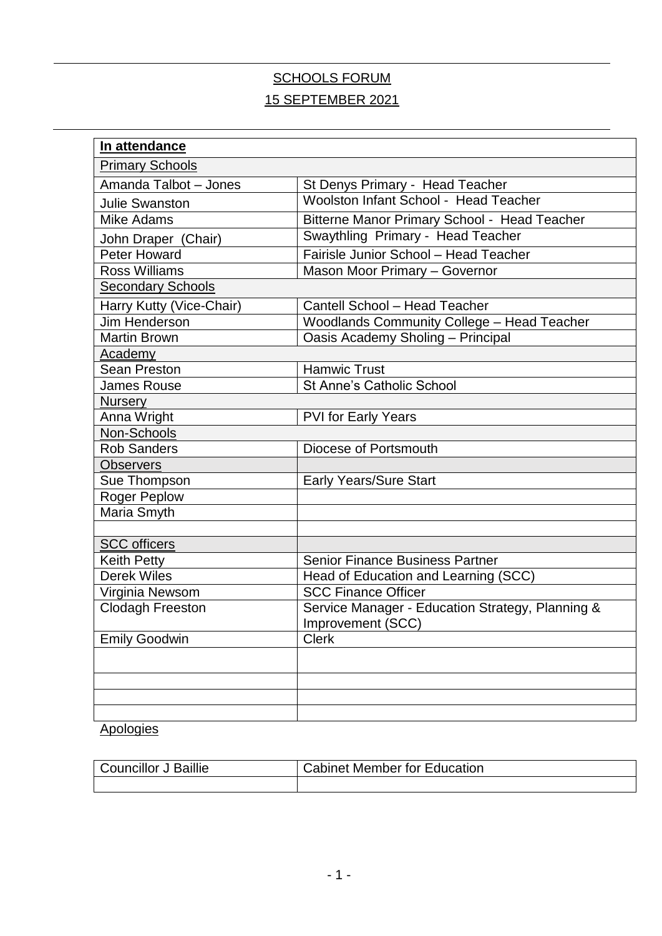# SCHOOLS FORUM 15 SEPTEMBER 2021

| In attendance            |                                                                       |
|--------------------------|-----------------------------------------------------------------------|
| <b>Primary Schools</b>   |                                                                       |
| Amanda Talbot - Jones    | St Denys Primary - Head Teacher                                       |
| <b>Julie Swanston</b>    | Woolston Infant School - Head Teacher                                 |
| <b>Mike Adams</b>        | Bitterne Manor Primary School - Head Teacher                          |
| John Draper (Chair)      | Swaythling Primary - Head Teacher                                     |
| Peter Howard             | Fairisle Junior School - Head Teacher                                 |
| <b>Ross Williams</b>     | Mason Moor Primary - Governor                                         |
| <b>Secondary Schools</b> |                                                                       |
| Harry Kutty (Vice-Chair) | Cantell School - Head Teacher                                         |
| Jim Henderson            | <b>Woodlands Community College - Head Teacher</b>                     |
| <b>Martin Brown</b>      | Oasis Academy Sholing - Principal                                     |
| <b>Academy</b>           |                                                                       |
| <b>Sean Preston</b>      | <b>Hamwic Trust</b>                                                   |
| <b>James Rouse</b>       | St Anne's Catholic School                                             |
| Nursery                  |                                                                       |
| Anna Wright              | <b>PVI for Early Years</b>                                            |
| Non-Schools              |                                                                       |
| <b>Rob Sanders</b>       | Diocese of Portsmouth                                                 |
| <b>Observers</b>         |                                                                       |
| Sue Thompson             | <b>Early Years/Sure Start</b>                                         |
| <b>Roger Peplow</b>      |                                                                       |
| Maria Smyth              |                                                                       |
|                          |                                                                       |
| <b>SCC</b> officers      |                                                                       |
| <b>Keith Petty</b>       | <b>Senior Finance Business Partner</b>                                |
| <b>Derek Wiles</b>       | <b>Head of Education and Learning (SCC)</b>                           |
| Virginia Newsom          | <b>SCC Finance Officer</b>                                            |
| <b>Clodagh Freeston</b>  | Service Manager - Education Strategy, Planning &<br>Improvement (SCC) |
| <b>Emily Goodwin</b>     | <b>Clerk</b>                                                          |
|                          |                                                                       |
|                          |                                                                       |
|                          |                                                                       |
|                          |                                                                       |
|                          |                                                                       |

## Apologies

| Councillor J Baillie | <b>Cabinet Member for Education</b> |
|----------------------|-------------------------------------|
|                      |                                     |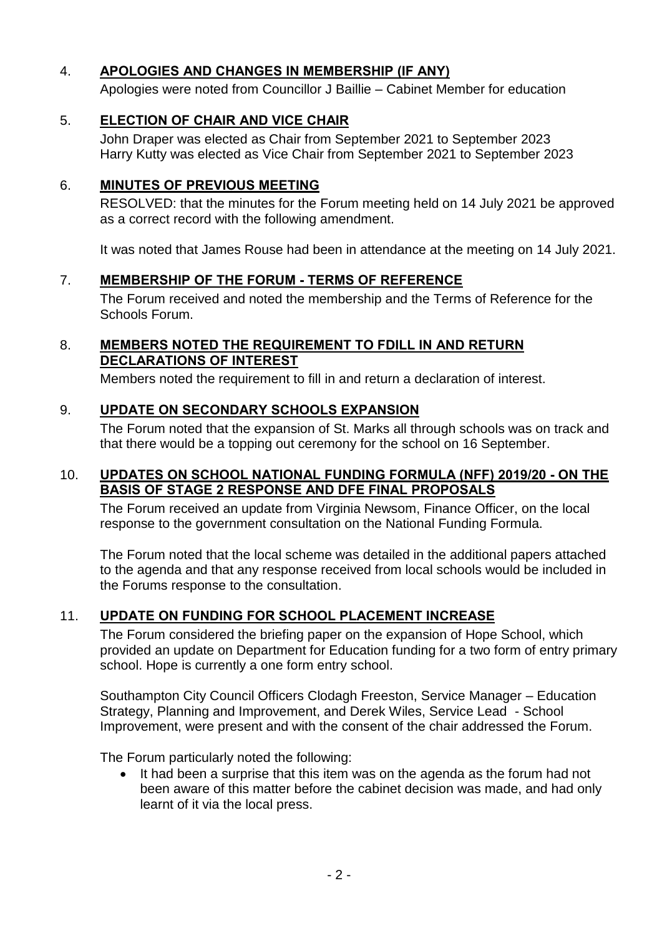# 4. **APOLOGIES AND CHANGES IN MEMBERSHIP (IF ANY)**

Apologies were noted from Councillor J Baillie – Cabinet Member for education

## 5. **ELECTION OF CHAIR AND VICE CHAIR**

John Draper was elected as Chair from September 2021 to September 2023 Harry Kutty was elected as Vice Chair from September 2021 to September 2023

#### 6. **MINUTES OF PREVIOUS MEETING**

RESOLVED: that the minutes for the Forum meeting held on 14 July 2021 be approved as a correct record with the following amendment.

It was noted that James Rouse had been in attendance at the meeting on 14 July 2021.

#### 7. **MEMBERSHIP OF THE FORUM - TERMS OF REFERENCE**

The Forum received and noted the membership and the Terms of Reference for the Schools Forum.

#### 8. **MEMBERS NOTED THE REQUIREMENT TO FDILL IN AND RETURN DECLARATIONS OF INTEREST**

Members noted the requirement to fill in and return a declaration of interest.

## 9. **UPDATE ON SECONDARY SCHOOLS EXPANSION**

The Forum noted that the expansion of St. Marks all through schools was on track and that there would be a topping out ceremony for the school on 16 September.

#### 10. **UPDATES ON SCHOOL NATIONAL FUNDING FORMULA (NFF) 2019/20 - ON THE BASIS OF STAGE 2 RESPONSE AND DFE FINAL PROPOSALS**

The Forum received an update from Virginia Newsom, Finance Officer, on the local response to the government consultation on the National Funding Formula.

The Forum noted that the local scheme was detailed in the additional papers attached to the agenda and that any response received from local schools would be included in the Forums response to the consultation.

## 11. **UPDATE ON FUNDING FOR SCHOOL PLACEMENT INCREASE**

The Forum considered the briefing paper on the expansion of Hope School, which provided an update on Department for Education funding for a two form of entry primary school. Hope is currently a one form entry school.

Southampton City Council Officers Clodagh Freeston, Service Manager – Education Strategy, Planning and Improvement, and Derek Wiles, Service Lead - School Improvement, were present and with the consent of the chair addressed the Forum.

The Forum particularly noted the following:

• It had been a surprise that this item was on the agenda as the forum had not been aware of this matter before the cabinet decision was made, and had only learnt of it via the local press.